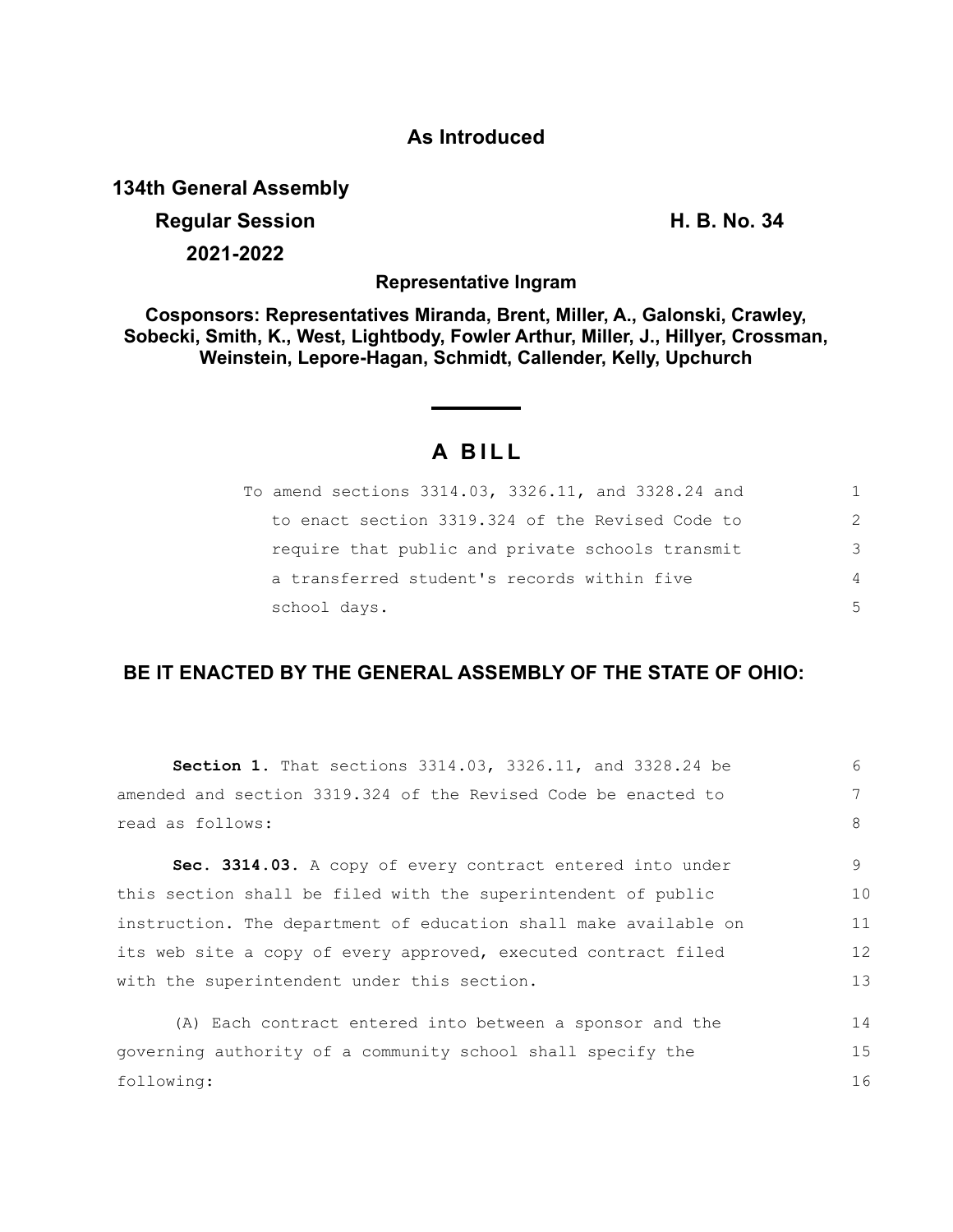## **As Introduced**

**134th General Assembly**

# **Regular Session H. B. No. 34 2021-2022**

**Representative Ingram**

**Cosponsors: Representatives Miranda, Brent, Miller, A., Galonski, Crawley, Sobecki, Smith, K., West, Lightbody, Fowler Arthur, Miller, J., Hillyer, Crossman, Weinstein, Lepore-Hagan, Schmidt, Callender, Kelly, Upchurch**

## **A B I L L**

| To amend sections 3314.03, 3326.11, and 3328.24 and | 1. |
|-----------------------------------------------------|----|
| to enact section 3319.324 of the Revised Code to    | 2  |
| require that public and private schools transmit    | 3  |
| a transferred student's records within five         | 4  |
| school days.                                        | 5  |

### **BE IT ENACTED BY THE GENERAL ASSEMBLY OF THE STATE OF OHIO:**

| $6 \overline{6}$ |
|------------------|
| 7                |
| 8                |
| 9                |
| 10               |
| 11               |
| 12               |
| 13               |
| 14               |
| 15               |
| 16               |
|                  |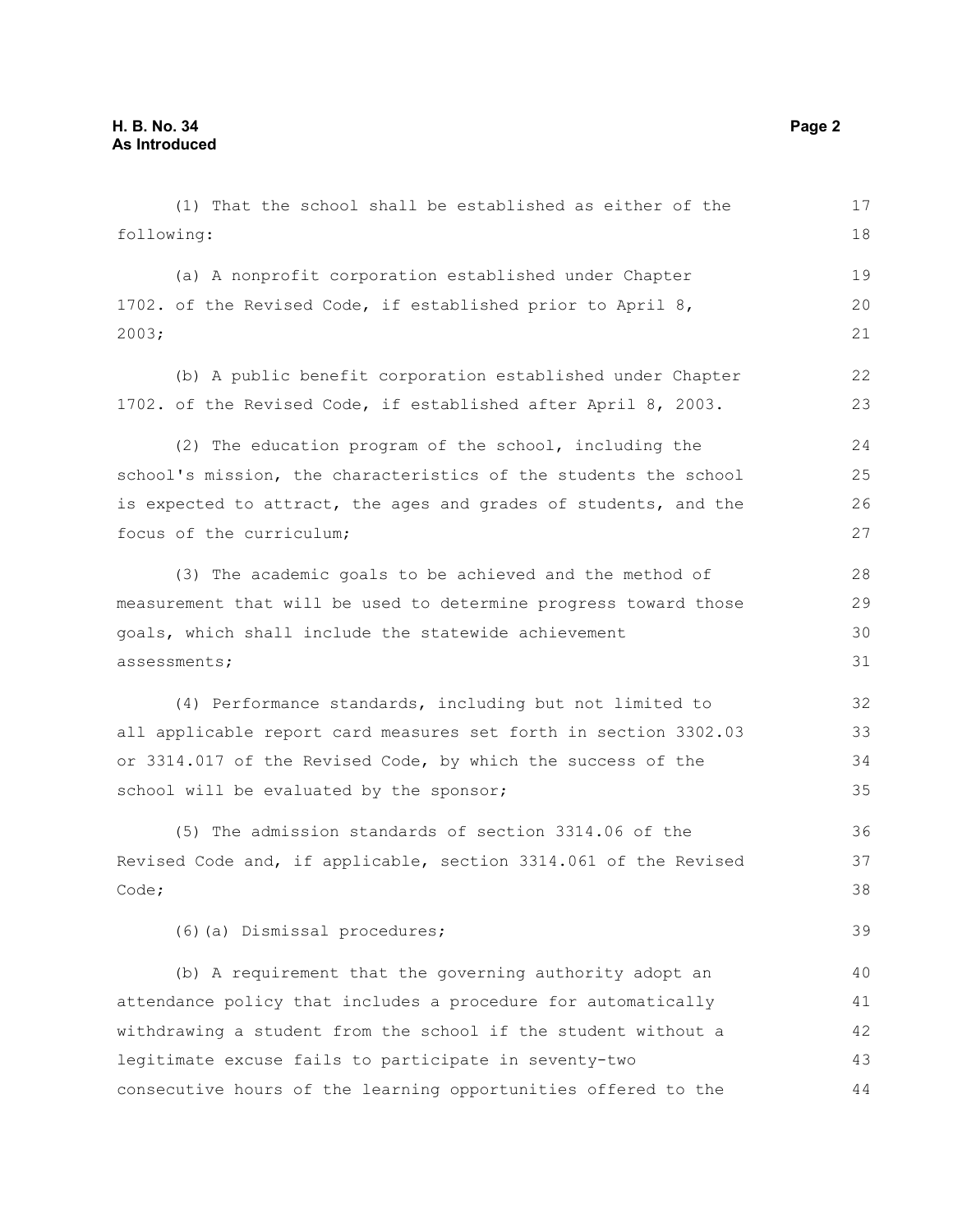(1) That the school shall be established as either of the following: (a) A nonprofit corporation established under Chapter 1702. of the Revised Code, if established prior to April 8, 2003; (b) A public benefit corporation established under Chapter 1702. of the Revised Code, if established after April 8, 2003. (2) The education program of the school, including the school's mission, the characteristics of the students the school is expected to attract, the ages and grades of students, and the focus of the curriculum; (3) The academic goals to be achieved and the method of measurement that will be used to determine progress toward those goals, which shall include the statewide achievement assessments; (4) Performance standards, including but not limited to all applicable report card measures set forth in section 3302.03 or 3314.017 of the Revised Code, by which the success of the school will be evaluated by the sponsor; (5) The admission standards of section 3314.06 of the Revised Code and, if applicable, section 3314.061 of the Revised Code; (6)(a) Dismissal procedures; (b) A requirement that the governing authority adopt an attendance policy that includes a procedure for automatically withdrawing a student from the school if the student without a legitimate excuse fails to participate in seventy-two consecutive hours of the learning opportunities offered to the 17 18 19 20 21 22 23  $24$ 25 26 27 28 29 30 31 32 33 34 35 36 37 38 39 40 41 42 43 44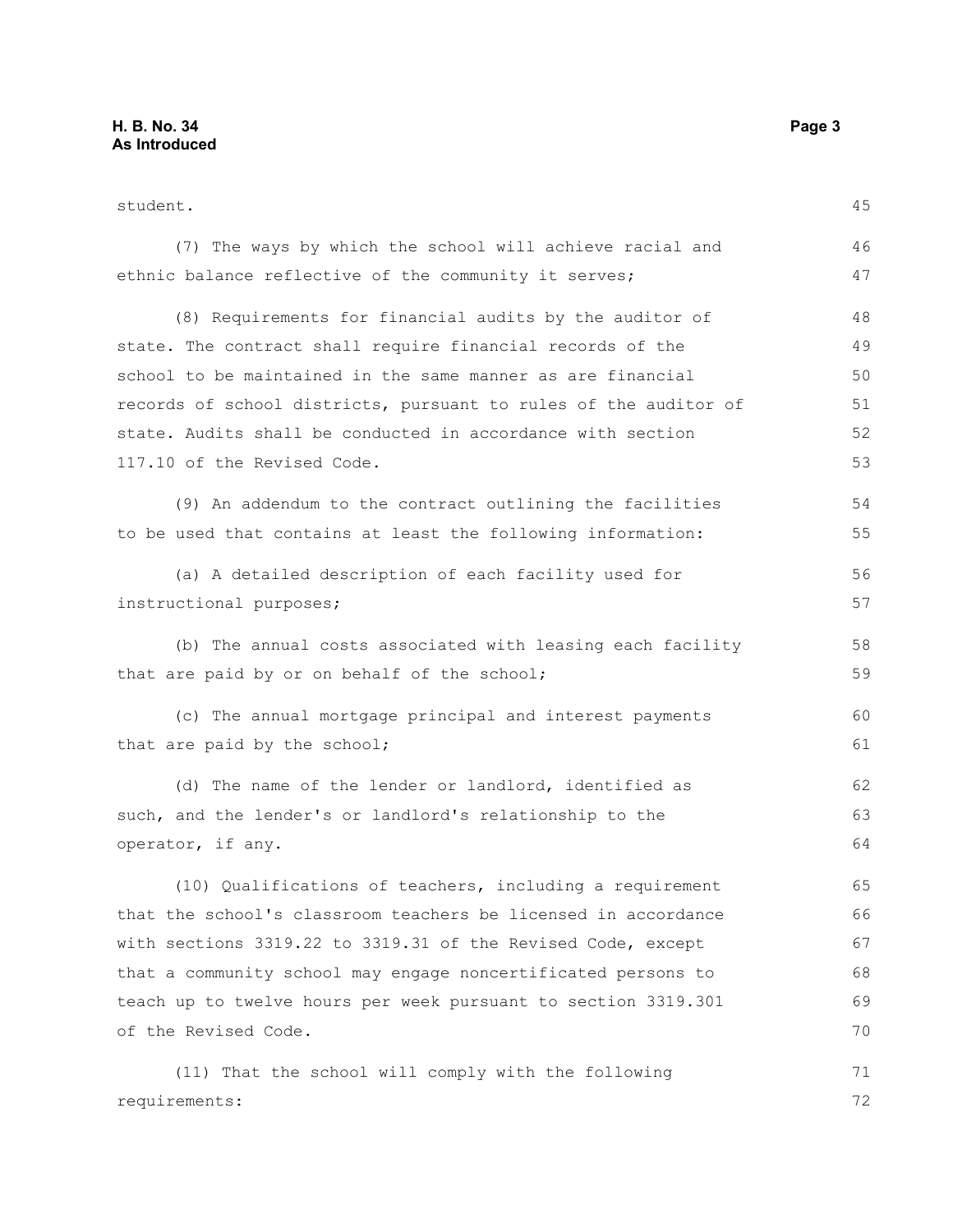requirements:

student. (7) The ways by which the school will achieve racial and ethnic balance reflective of the community it serves; (8) Requirements for financial audits by the auditor of state. The contract shall require financial records of the school to be maintained in the same manner as are financial records of school districts, pursuant to rules of the auditor of state. Audits shall be conducted in accordance with section 117.10 of the Revised Code. (9) An addendum to the contract outlining the facilities to be used that contains at least the following information: (a) A detailed description of each facility used for instructional purposes; (b) The annual costs associated with leasing each facility that are paid by or on behalf of the school; (c) The annual mortgage principal and interest payments that are paid by the school; (d) The name of the lender or landlord, identified as such, and the lender's or landlord's relationship to the operator, if any. (10) Qualifications of teachers, including a requirement that the school's classroom teachers be licensed in accordance with sections 3319.22 to 3319.31 of the Revised Code, except that a community school may engage noncertificated persons to teach up to twelve hours per week pursuant to section 3319.301 of the Revised Code. (11) That the school will comply with the following 45 46 47 48 49 50 51 52 53 54 55 56 57 58 59  $60$ 61 62 63 64 65 66 67 68 69 70 71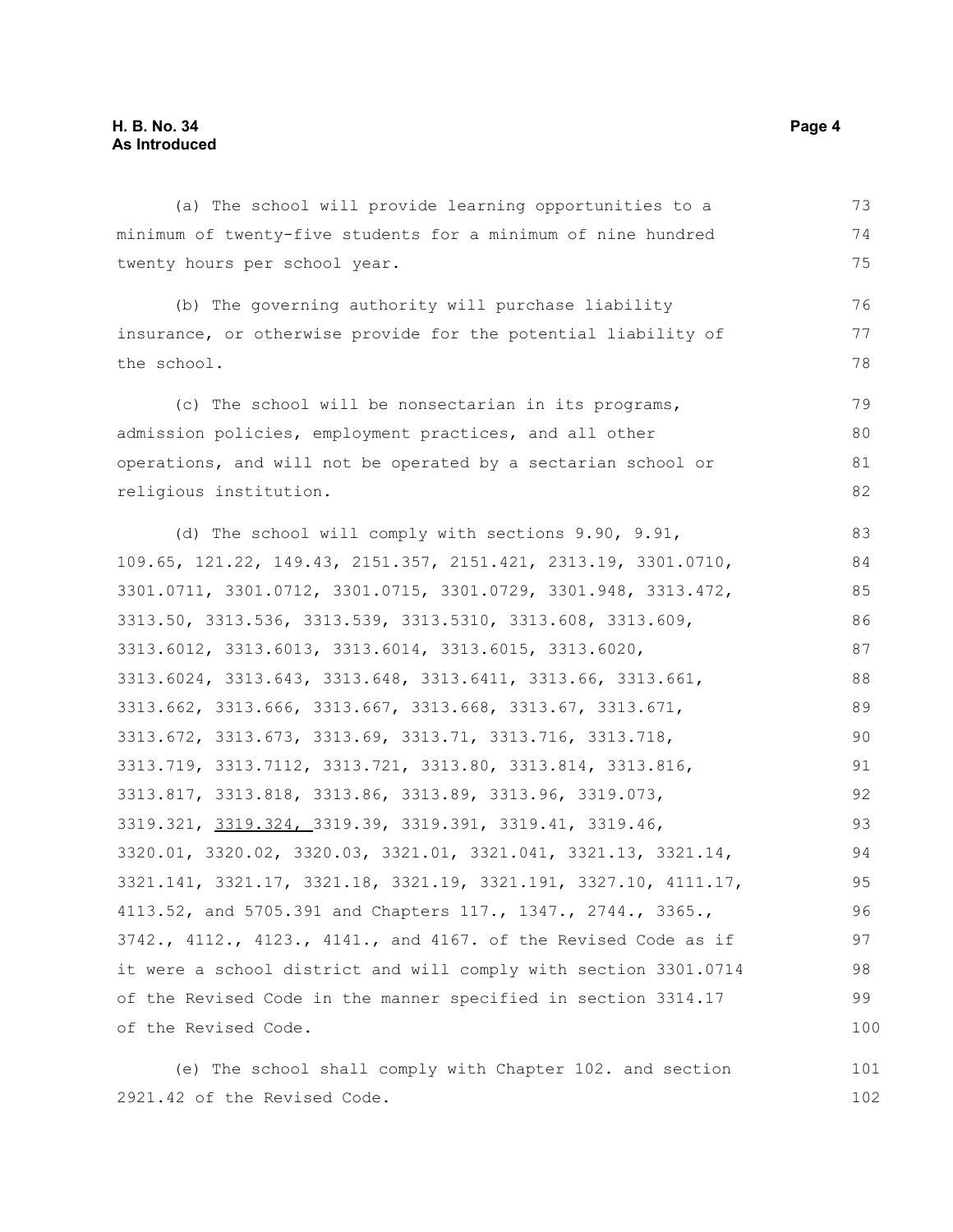(a) The school will provide learning opportunities to a minimum of twenty-five students for a minimum of nine hundred twenty hours per school year. (b) The governing authority will purchase liability insurance, or otherwise provide for the potential liability of the school. (c) The school will be nonsectarian in its programs, admission policies, employment practices, and all other operations, and will not be operated by a sectarian school or religious institution. (d) The school will comply with sections 9.90, 9.91, 109.65, 121.22, 149.43, 2151.357, 2151.421, 2313.19, 3301.0710, 3301.0711, 3301.0712, 3301.0715, 3301.0729, 3301.948, 3313.472, 3313.50, 3313.536, 3313.539, 3313.5310, 3313.608, 3313.609, 3313.6012, 3313.6013, 3313.6014, 3313.6015, 3313.6020, 3313.6024, 3313.643, 3313.648, 3313.6411, 3313.66, 3313.661, 3313.662, 3313.666, 3313.667, 3313.668, 3313.67, 3313.671, 3313.672, 3313.673, 3313.69, 3313.71, 3313.716, 3313.718, 3313.719, 3313.7112, 3313.721, 3313.80, 3313.814, 3313.816, 3313.817, 3313.818, 3313.86, 3313.89, 3313.96, 3319.073, 3319.321, 3319.324, 3319.39, 3319.391, 3319.41, 3319.46, 3320.01, 3320.02, 3320.03, 3321.01, 3321.041, 3321.13, 3321.14, 3321.141, 3321.17, 3321.18, 3321.19, 3321.191, 3327.10, 4111.17, 4113.52, and 5705.391 and Chapters 117., 1347., 2744., 3365., 3742., 4112., 4123., 4141., and 4167. of the Revised Code as if it were a school district and will comply with section 3301.0714 of the Revised Code in the manner specified in section 3314.17 of the Revised Code. 73 74 75 76 77 78 79 80 81 82 83 84 85 86 87 88 89 90 91 92 93 94 95 96 97 98 99 100

(e) The school shall comply with Chapter 102. and section 2921.42 of the Revised Code. 101 102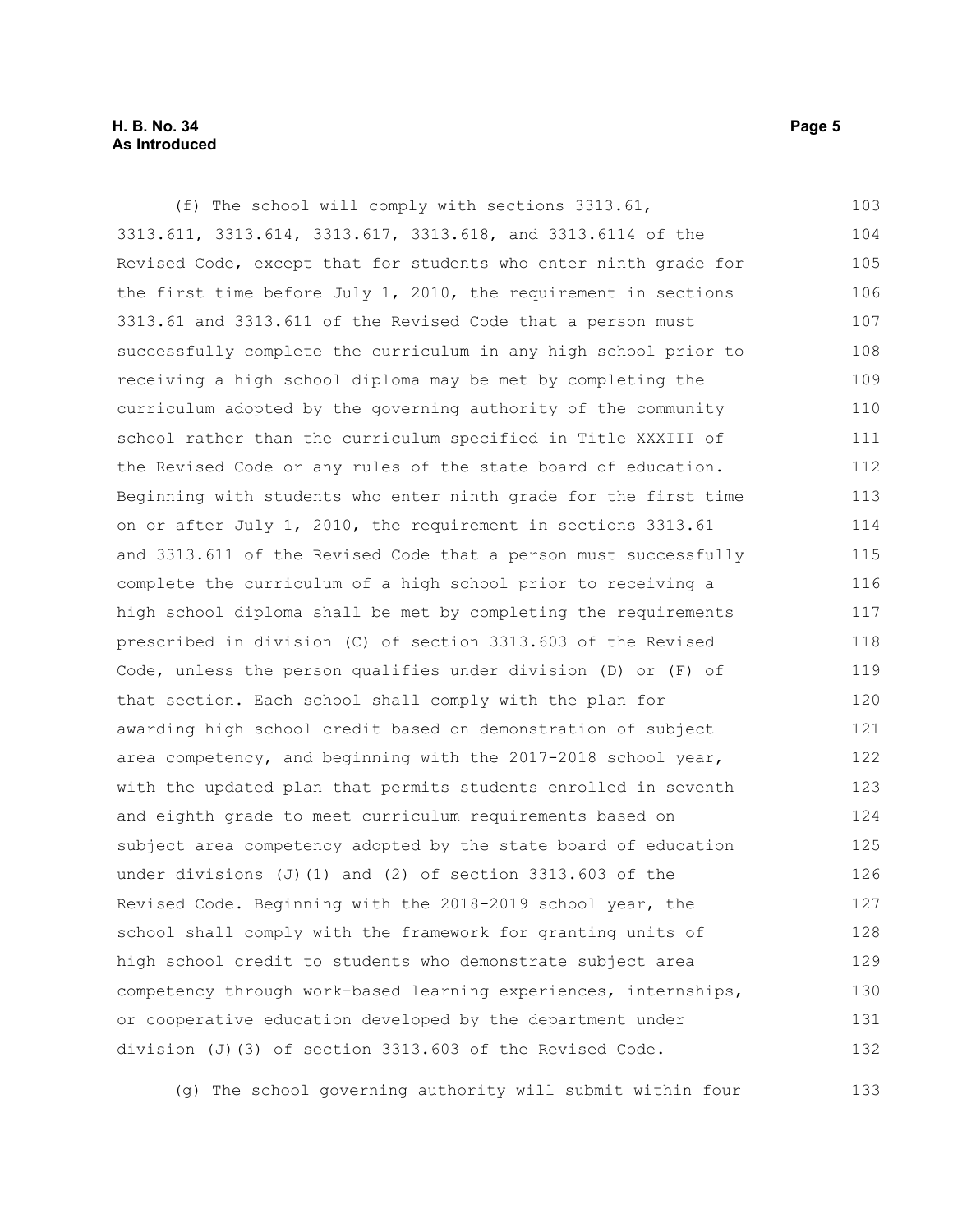#### **H. B. No. 34 Page 5 As Introduced**

(f) The school will comply with sections 3313.61, 3313.611, 3313.614, 3313.617, 3313.618, and 3313.6114 of the Revised Code, except that for students who enter ninth grade for the first time before July  $1$ , 2010, the requirement in sections 3313.61 and 3313.611 of the Revised Code that a person must successfully complete the curriculum in any high school prior to receiving a high school diploma may be met by completing the curriculum adopted by the governing authority of the community school rather than the curriculum specified in Title XXXIII of the Revised Code or any rules of the state board of education. Beginning with students who enter ninth grade for the first time on or after July 1, 2010, the requirement in sections 3313.61 and 3313.611 of the Revised Code that a person must successfully complete the curriculum of a high school prior to receiving a high school diploma shall be met by completing the requirements prescribed in division (C) of section 3313.603 of the Revised Code, unless the person qualifies under division (D) or (F) of that section. Each school shall comply with the plan for awarding high school credit based on demonstration of subject area competency, and beginning with the 2017-2018 school year, with the updated plan that permits students enrolled in seventh and eighth grade to meet curriculum requirements based on subject area competency adopted by the state board of education under divisions (J)(1) and (2) of section  $3313.603$  of the Revised Code. Beginning with the 2018-2019 school year, the school shall comply with the framework for granting units of high school credit to students who demonstrate subject area competency through work-based learning experiences, internships, or cooperative education developed by the department under division (J)(3) of section 3313.603 of the Revised Code. 103 104 105 106 107 108 109 110 111 112 113 114 115 116 117 118 119 120 121 122 123 124 125 126 127 128 129 130 131 132

(g) The school governing authority will submit within four 133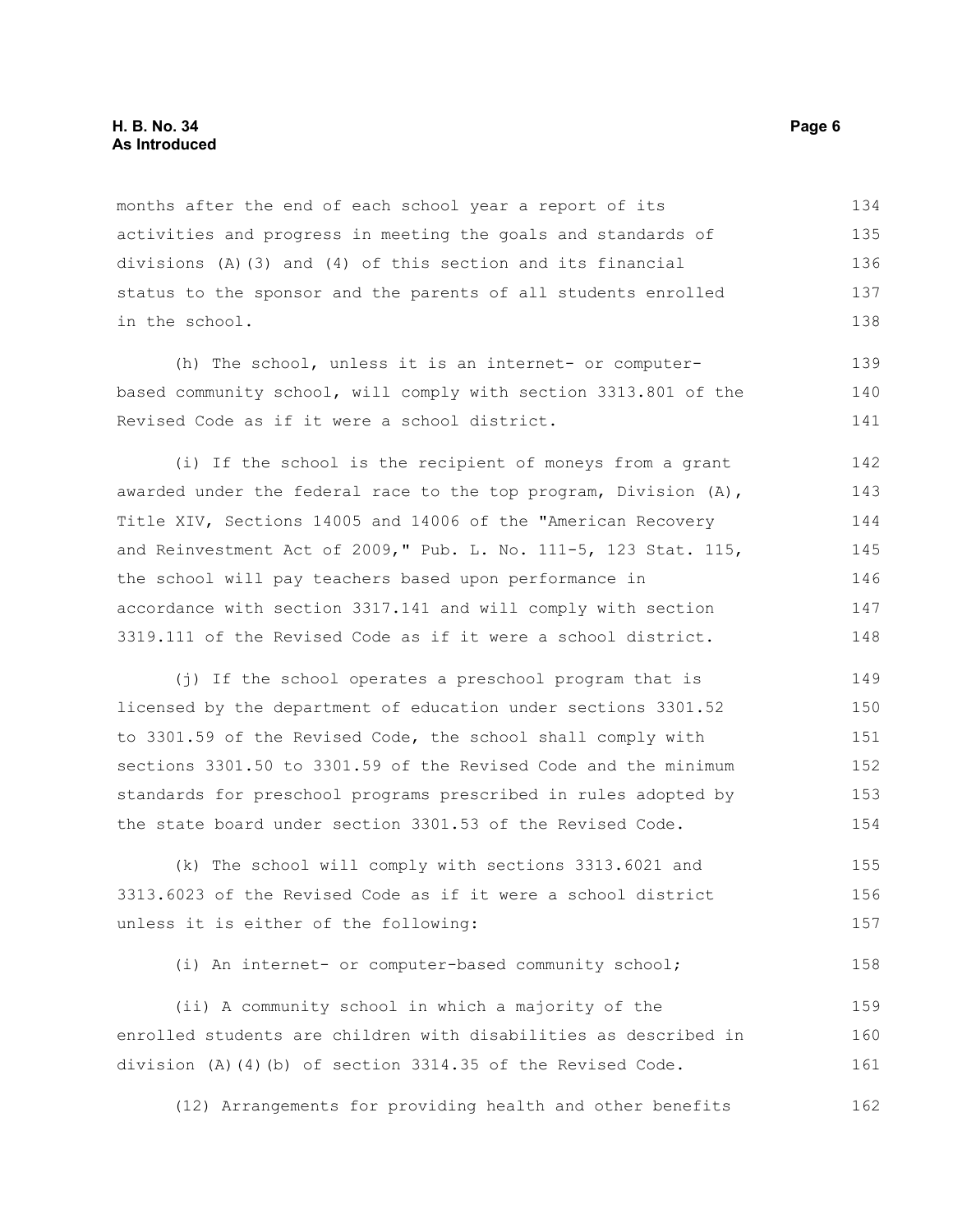#### **H. B. No. 34 Page 6 As Introduced**

months after the end of each school year a report of its activities and progress in meeting the goals and standards of divisions (A)(3) and (4) of this section and its financial status to the sponsor and the parents of all students enrolled in the school. 134 135 136 137 138

(h) The school, unless it is an internet- or computerbased community school, will comply with section 3313.801 of the Revised Code as if it were a school district.

(i) If the school is the recipient of moneys from a grant awarded under the federal race to the top program, Division (A), Title XIV, Sections 14005 and 14006 of the "American Recovery and Reinvestment Act of 2009," Pub. L. No. 111-5, 123 Stat. 115, the school will pay teachers based upon performance in accordance with section 3317.141 and will comply with section 3319.111 of the Revised Code as if it were a school district. 142 143 144 145 146 147 148

(j) If the school operates a preschool program that is licensed by the department of education under sections 3301.52 to 3301.59 of the Revised Code, the school shall comply with sections 3301.50 to 3301.59 of the Revised Code and the minimum standards for preschool programs prescribed in rules adopted by the state board under section 3301.53 of the Revised Code. 149 150 151 152 153 154

(k) The school will comply with sections 3313.6021 and 3313.6023 of the Revised Code as if it were a school district unless it is either of the following: 155 156 157

(i) An internet- or computer-based community school; 158

(ii) A community school in which a majority of the enrolled students are children with disabilities as described in division (A)(4)(b) of section 3314.35 of the Revised Code. 159 160 161

(12) Arrangements for providing health and other benefits 162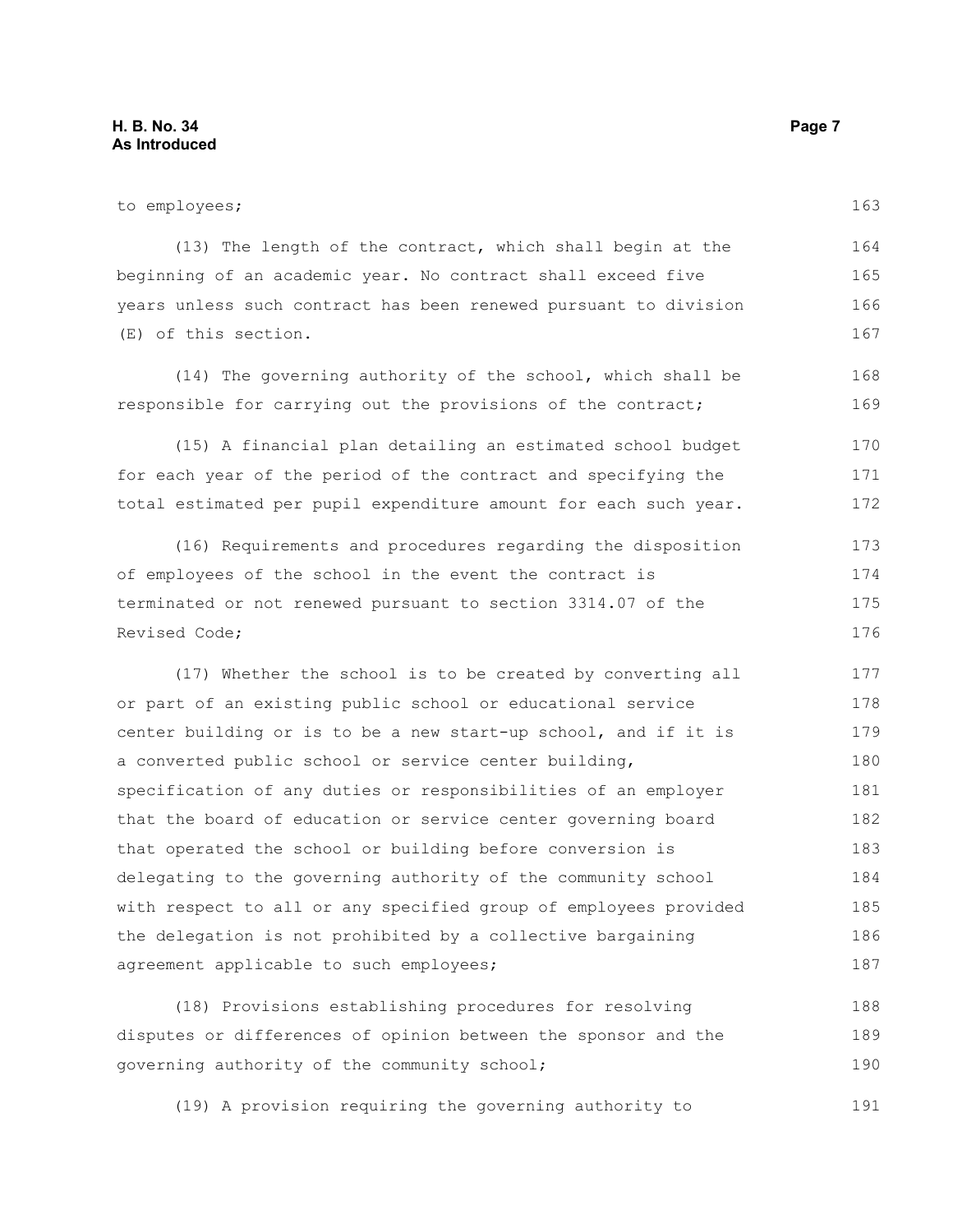to employees; (13) The length of the contract, which shall begin at the beginning of an academic year. No contract shall exceed five years unless such contract has been renewed pursuant to division (E) of this section. (14) The governing authority of the school, which shall be responsible for carrying out the provisions of the contract; (15) A financial plan detailing an estimated school budget for each year of the period of the contract and specifying the total estimated per pupil expenditure amount for each such year. (16) Requirements and procedures regarding the disposition of employees of the school in the event the contract is 163 164 165 166 167 168 169 170 171 172 173 174

### terminated or not renewed pursuant to section 3314.07 of the Revised Code; 175 176

(17) Whether the school is to be created by converting all or part of an existing public school or educational service center building or is to be a new start-up school, and if it is a converted public school or service center building, specification of any duties or responsibilities of an employer that the board of education or service center governing board that operated the school or building before conversion is delegating to the governing authority of the community school with respect to all or any specified group of employees provided the delegation is not prohibited by a collective bargaining agreement applicable to such employees; 177 178 179 180 181 182 183 184 185 186 187

(18) Provisions establishing procedures for resolving disputes or differences of opinion between the sponsor and the governing authority of the community school; 188 189 190

(19) A provision requiring the governing authority to 191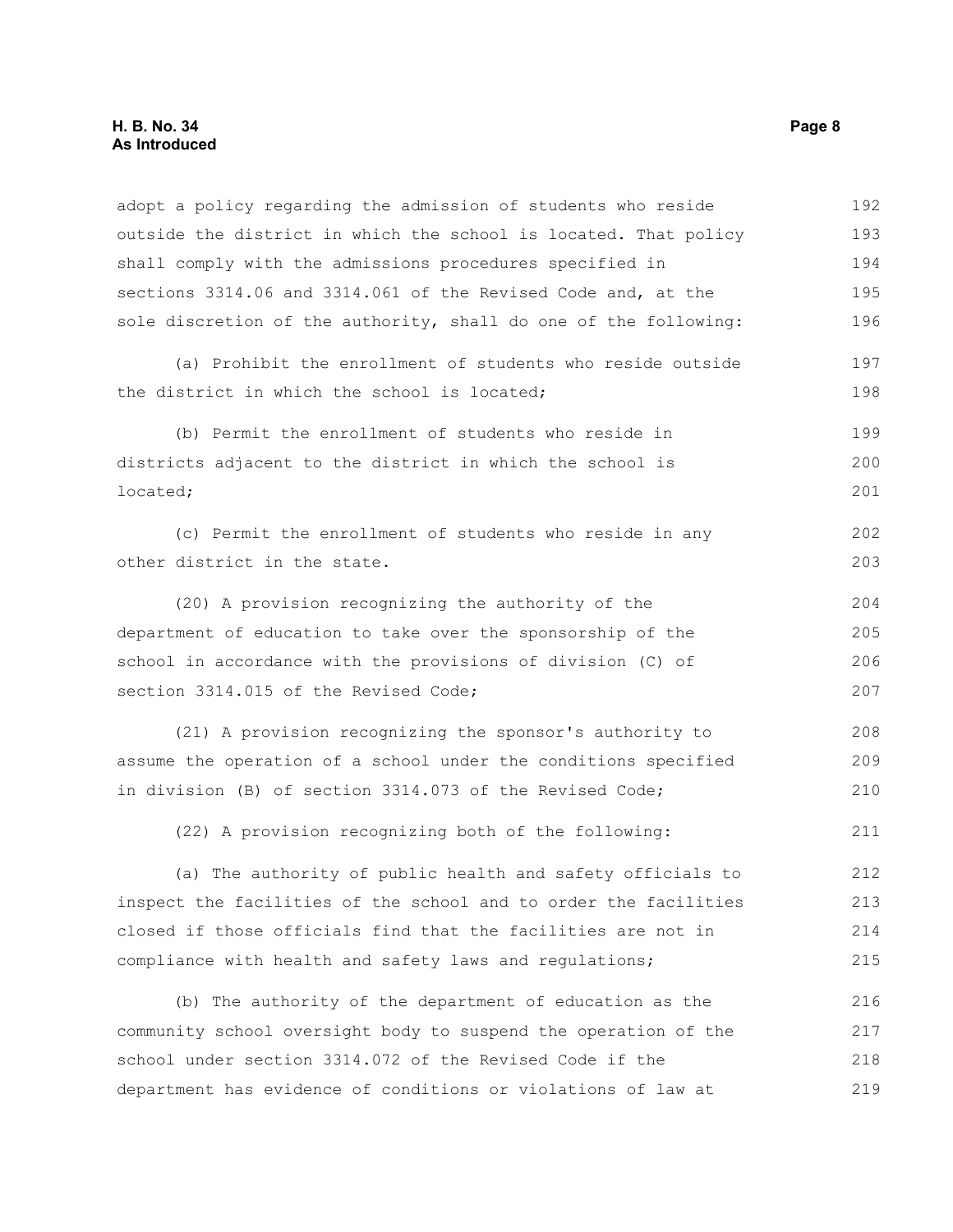| adopt a policy regarding the admission of students who reside    | 192 |
|------------------------------------------------------------------|-----|
| outside the district in which the school is located. That policy | 193 |
| shall comply with the admissions procedures specified in         | 194 |
| sections 3314.06 and 3314.061 of the Revised Code and, at the    | 195 |
| sole discretion of the authority, shall do one of the following: | 196 |
| (a) Prohibit the enrollment of students who reside outside       | 197 |
| the district in which the school is located;                     | 198 |
| (b) Permit the enrollment of students who reside in              | 199 |
| districts adjacent to the district in which the school is        | 200 |
| located;                                                         | 201 |
| (c) Permit the enrollment of students who reside in any          | 202 |
| other district in the state.                                     | 203 |
| (20) A provision recognizing the authority of the                | 204 |
| department of education to take over the sponsorship of the      | 205 |
| school in accordance with the provisions of division (C) of      | 206 |
| section 3314.015 of the Revised Code;                            | 207 |
| (21) A provision recognizing the sponsor's authority to          | 208 |
| assume the operation of a school under the conditions specified  | 209 |
| in division (B) of section 3314.073 of the Revised Code;         | 210 |
| (22) A provision recognizing both of the following:              | 211 |
| (a) The authority of public health and safety officials to       | 212 |
| inspect the facilities of the school and to order the facilities | 213 |
| closed if those officials find that the facilities are not in    | 214 |
| compliance with health and safety laws and regulations;          | 215 |
| (b) The authority of the department of education as the          | 216 |
| community school oversight body to suspend the operation of the  | 217 |
| school under section 3314.072 of the Revised Code if the         | 218 |
| department has evidence of conditions or violations of law at    | 219 |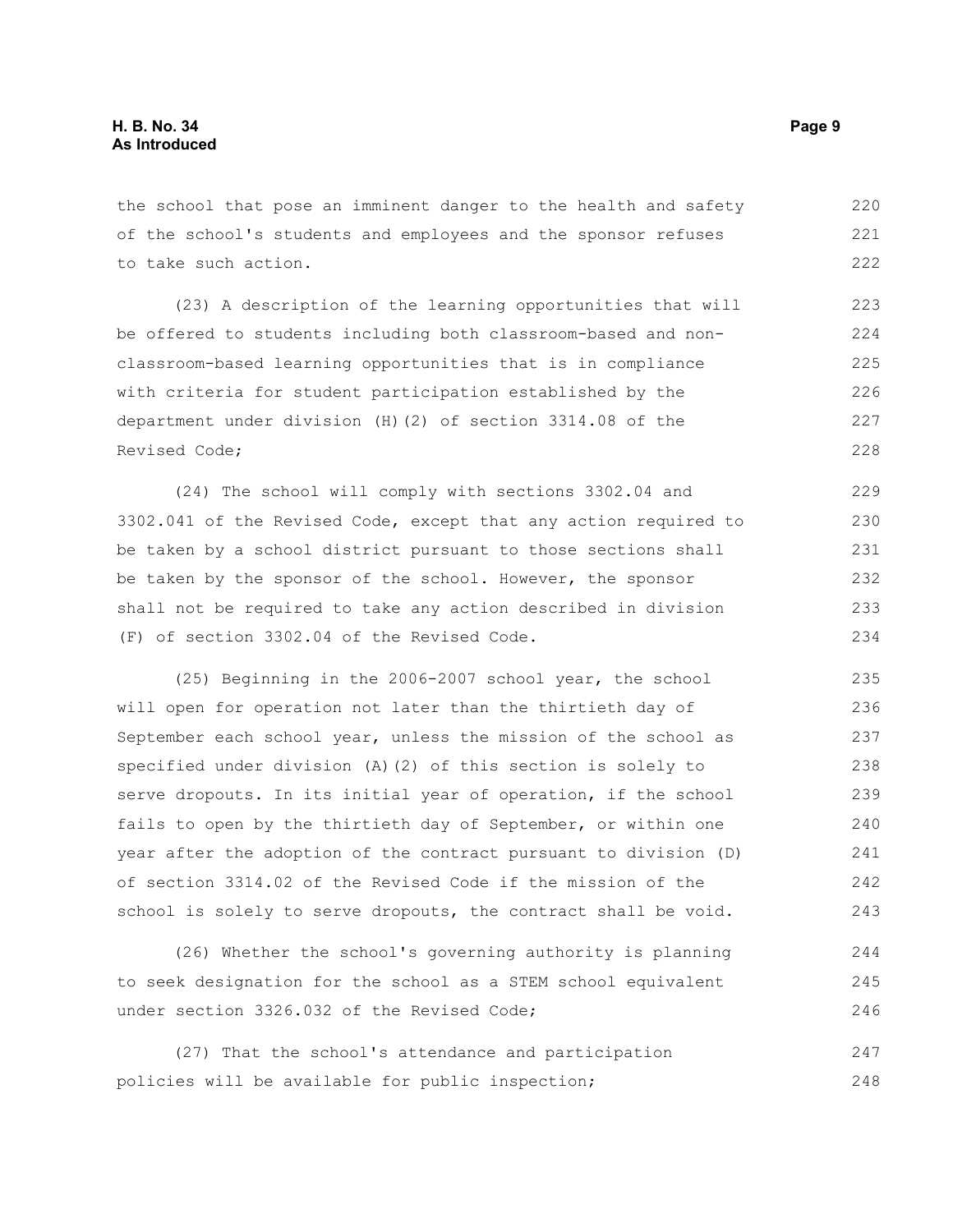the school that pose an imminent danger to the health and safety of the school's students and employees and the sponsor refuses to take such action. 220 221 222

(23) A description of the learning opportunities that will be offered to students including both classroom-based and nonclassroom-based learning opportunities that is in compliance with criteria for student participation established by the department under division (H)(2) of section 3314.08 of the Revised Code; 223 224 225 226 227 228

(24) The school will comply with sections 3302.04 and 3302.041 of the Revised Code, except that any action required to be taken by a school district pursuant to those sections shall be taken by the sponsor of the school. However, the sponsor shall not be required to take any action described in division (F) of section 3302.04 of the Revised Code. 229 230 231 232 233 234

(25) Beginning in the 2006-2007 school year, the school will open for operation not later than the thirtieth day of September each school year, unless the mission of the school as specified under division (A)(2) of this section is solely to serve dropouts. In its initial year of operation, if the school fails to open by the thirtieth day of September, or within one year after the adoption of the contract pursuant to division (D) of section 3314.02 of the Revised Code if the mission of the school is solely to serve dropouts, the contract shall be void. 235 236 237 238 239 240 241 242 243

(26) Whether the school's governing authority is planning to seek designation for the school as a STEM school equivalent under section 3326.032 of the Revised Code; 244 245 246

(27) That the school's attendance and participation policies will be available for public inspection; 247 248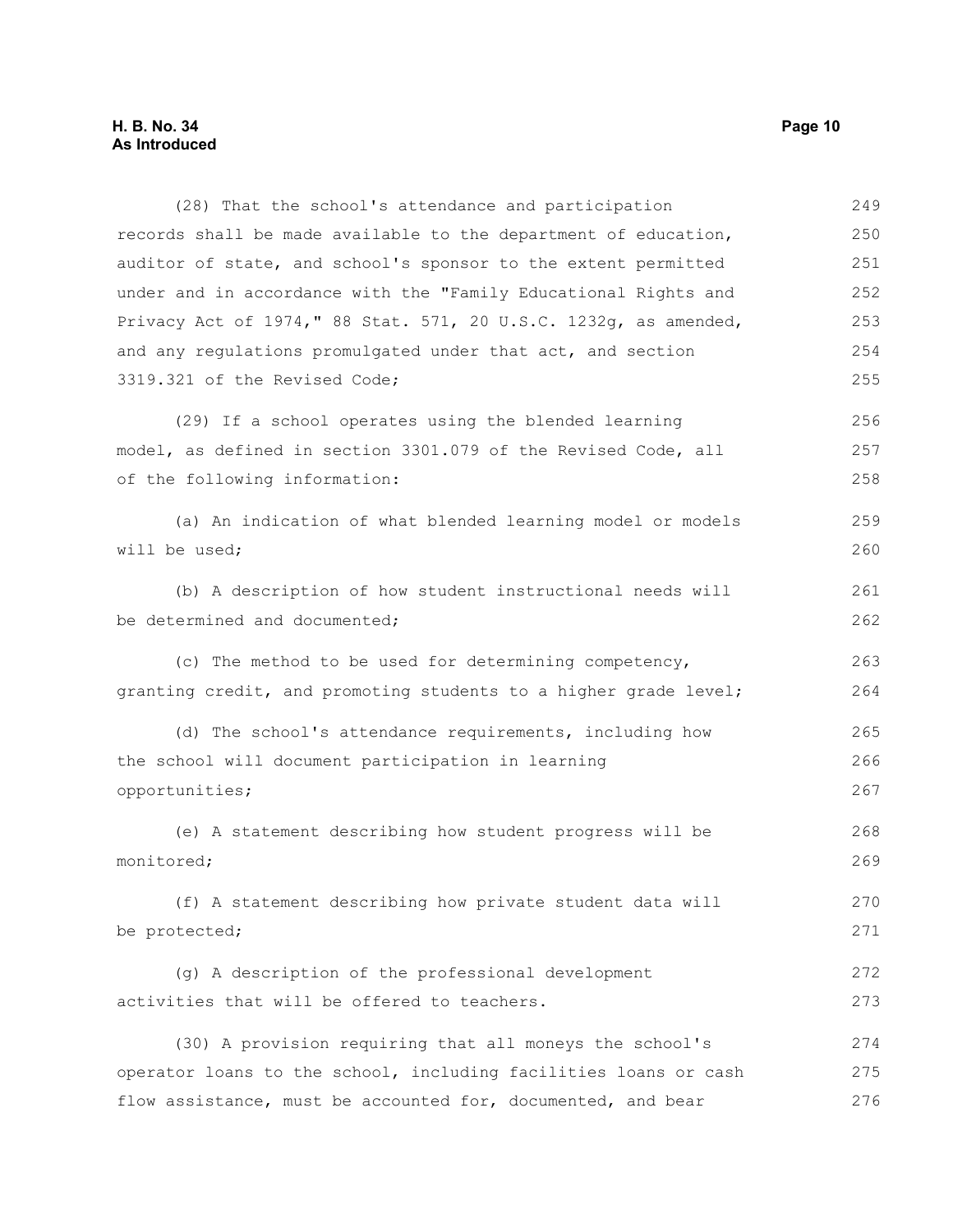(28) That the school's attendance and participation records shall be made available to the department of education, auditor of state, and school's sponsor to the extent permitted under and in accordance with the "Family Educational Rights and Privacy Act of 1974," 88 Stat. 571, 20 U.S.C. 1232g, as amended, and any regulations promulgated under that act, and section 3319.321 of the Revised Code; (29) If a school operates using the blended learning model, as defined in section 3301.079 of the Revised Code, all of the following information: (a) An indication of what blended learning model or models will be used; (b) A description of how student instructional needs will be determined and documented; (c) The method to be used for determining competency, granting credit, and promoting students to a higher grade level; (d) The school's attendance requirements, including how the school will document participation in learning opportunities; (e) A statement describing how student progress will be monitored; (f) A statement describing how private student data will be protected; (g) A description of the professional development activities that will be offered to teachers. 250 251 252 253 254 255 256 257 258 259 260 261 262 263 264 265 266 267 268 269 270 271 272 273

(30) A provision requiring that all moneys the school's operator loans to the school, including facilities loans or cash flow assistance, must be accounted for, documented, and bear 274 275 276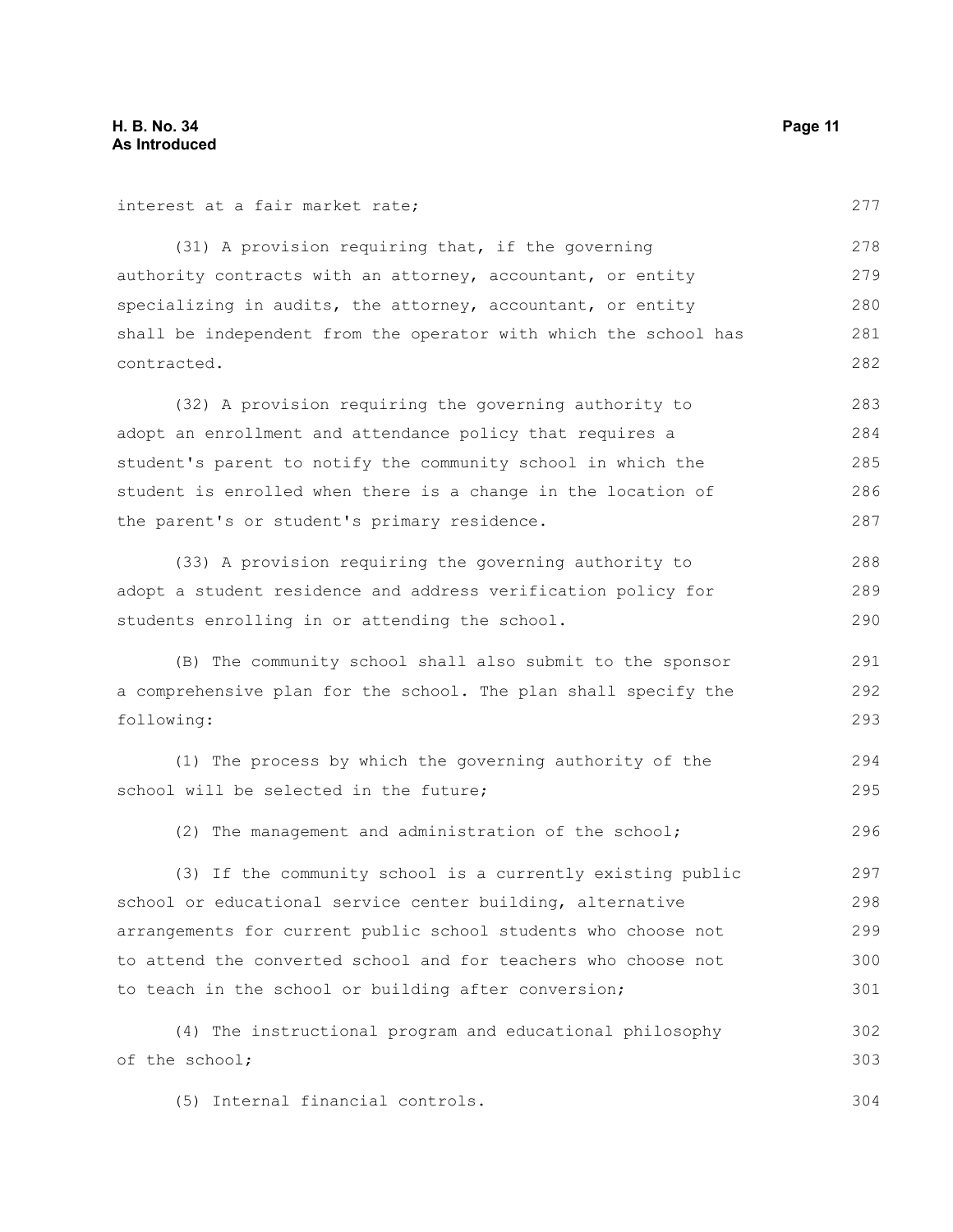interest at a fair market rate;

(31) A provision requiring that, if the governing authority contracts with an attorney, accountant, or entity specializing in audits, the attorney, accountant, or entity shall be independent from the operator with which the school has contracted. 278 279 280 281 282

(32) A provision requiring the governing authority to adopt an enrollment and attendance policy that requires a student's parent to notify the community school in which the student is enrolled when there is a change in the location of the parent's or student's primary residence. 283 284 285 286 287

(33) A provision requiring the governing authority to adopt a student residence and address verification policy for students enrolling in or attending the school.

(B) The community school shall also submit to the sponsor a comprehensive plan for the school. The plan shall specify the following:

(1) The process by which the governing authority of the school will be selected in the future; 294 295

(2) The management and administration of the school; 296

(3) If the community school is a currently existing public school or educational service center building, alternative arrangements for current public school students who choose not to attend the converted school and for teachers who choose not to teach in the school or building after conversion; 297 298 299 300 301

(4) The instructional program and educational philosophy of the school; 302 303

(5) Internal financial controls. 304

277

288 289 290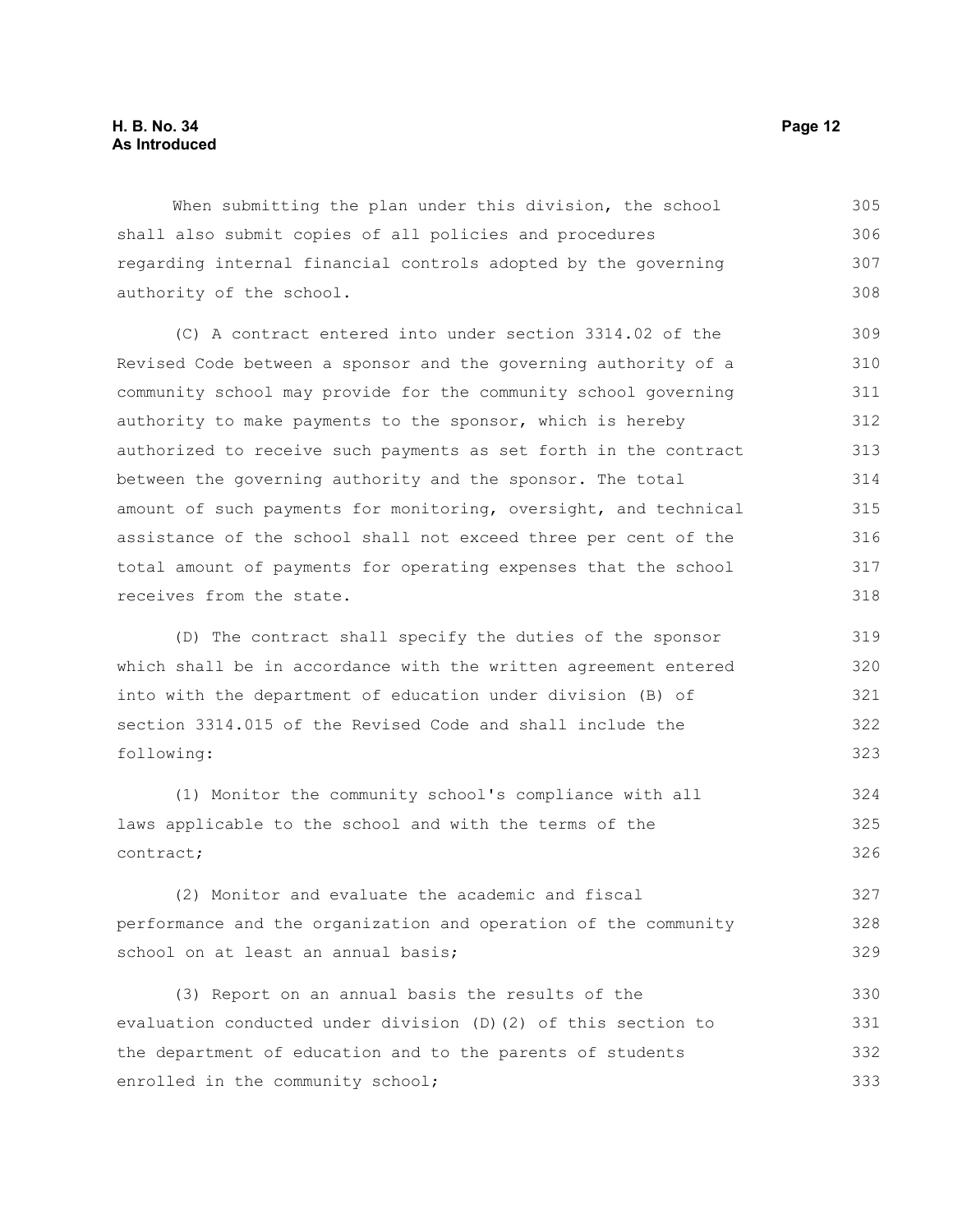When submitting the plan under this division, the school shall also submit copies of all policies and procedures regarding internal financial controls adopted by the governing authority of the school. 305 306 307 308

(C) A contract entered into under section 3314.02 of the Revised Code between a sponsor and the governing authority of a community school may provide for the community school governing authority to make payments to the sponsor, which is hereby authorized to receive such payments as set forth in the contract between the governing authority and the sponsor. The total amount of such payments for monitoring, oversight, and technical assistance of the school shall not exceed three per cent of the total amount of payments for operating expenses that the school receives from the state.

(D) The contract shall specify the duties of the sponsor which shall be in accordance with the written agreement entered into with the department of education under division (B) of section 3314.015 of the Revised Code and shall include the following:

(1) Monitor the community school's compliance with all laws applicable to the school and with the terms of the contract; 324 325 326

(2) Monitor and evaluate the academic and fiscal performance and the organization and operation of the community school on at least an annual basis; 327 328 329

(3) Report on an annual basis the results of the evaluation conducted under division (D)(2) of this section to the department of education and to the parents of students enrolled in the community school; 330 331 332 333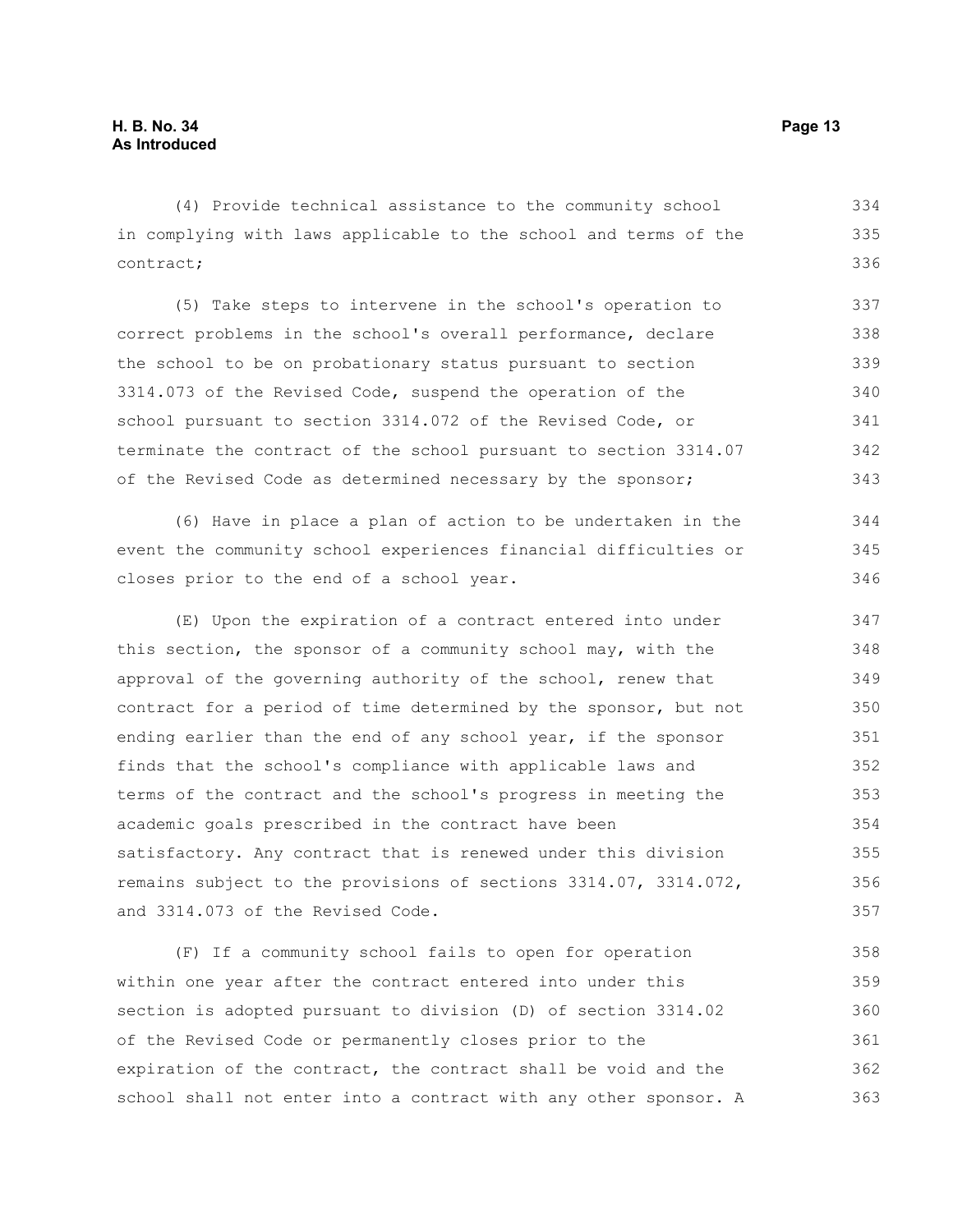(4) Provide technical assistance to the community school in complying with laws applicable to the school and terms of the contract; 334 335 336

(5) Take steps to intervene in the school's operation to correct problems in the school's overall performance, declare the school to be on probationary status pursuant to section 3314.073 of the Revised Code, suspend the operation of the school pursuant to section 3314.072 of the Revised Code, or terminate the contract of the school pursuant to section 3314.07 of the Revised Code as determined necessary by the sponsor; 337 338 339 340 341 342 343

(6) Have in place a plan of action to be undertaken in the event the community school experiences financial difficulties or closes prior to the end of a school year.

(E) Upon the expiration of a contract entered into under this section, the sponsor of a community school may, with the approval of the governing authority of the school, renew that contract for a period of time determined by the sponsor, but not ending earlier than the end of any school year, if the sponsor finds that the school's compliance with applicable laws and terms of the contract and the school's progress in meeting the academic goals prescribed in the contract have been satisfactory. Any contract that is renewed under this division remains subject to the provisions of sections 3314.07, 3314.072, and 3314.073 of the Revised Code. 347 348 349 350 351 352 353 354 355 356 357

(F) If a community school fails to open for operation within one year after the contract entered into under this section is adopted pursuant to division (D) of section 3314.02 of the Revised Code or permanently closes prior to the expiration of the contract, the contract shall be void and the school shall not enter into a contract with any other sponsor. A 358 359 360 361 362 363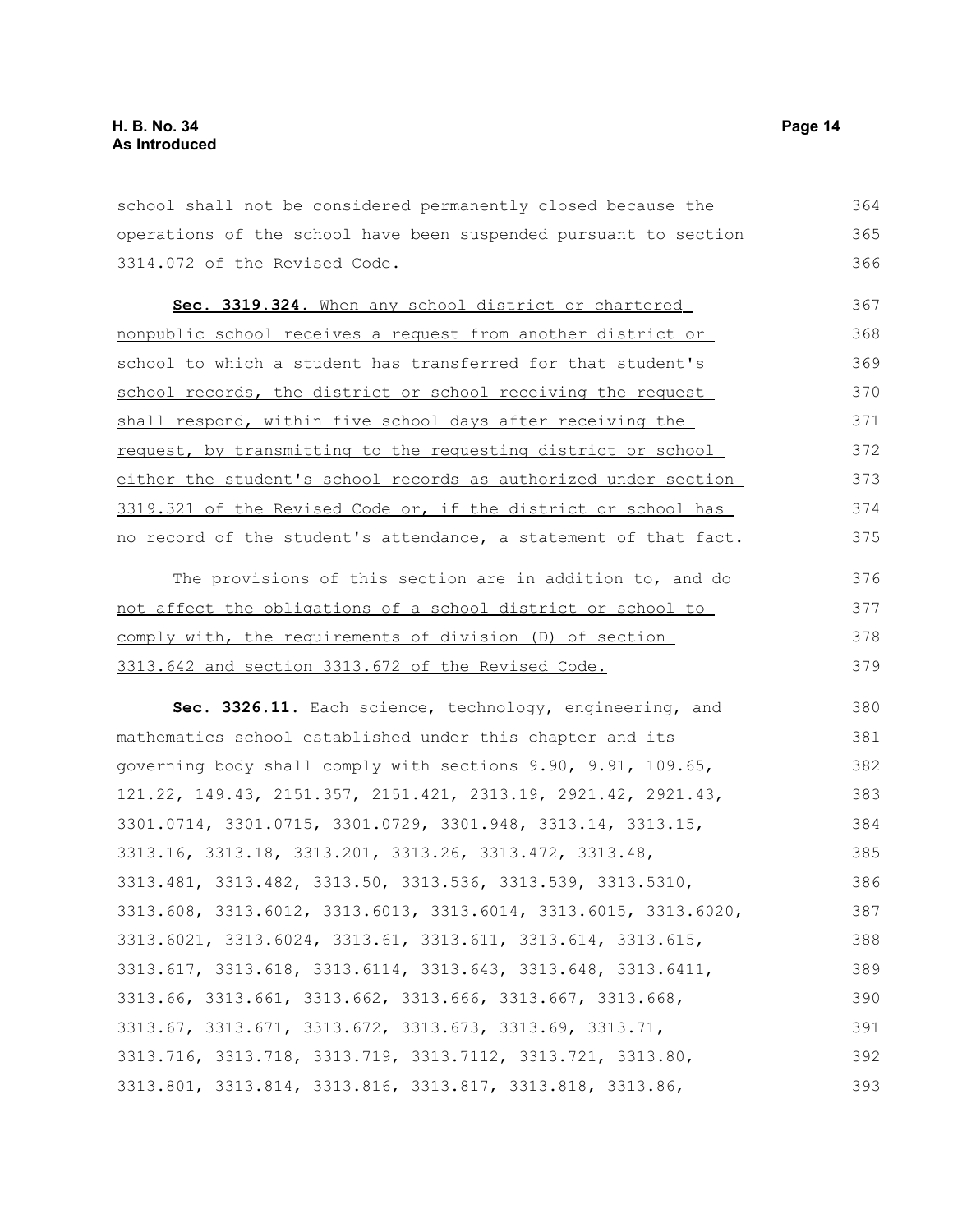school shall not be considered permanently closed because the operations of the school have been suspended pursuant to section 3314.072 of the Revised Code. 364 365 366

 **Sec. 3319.324.** When any school district or chartered nonpublic school receives a request from another district or school to which a student has transferred for that student's school records, the district or school receiving the request shall respond, within five school days after receiving the request, by transmitting to the requesting district or school either the student's school records as authorized under section 3319.321 of the Revised Code or, if the district or school has no record of the student's attendance, a statement of that fact. 367 368 369 370 371 372 373 374 375

The provisions of this section are in addition to, and do not affect the obligations of a school district or school to comply with, the requirements of division (D) of section 3313.642 and section 3313.672 of the Revised Code. 376 377 378 379

**Sec. 3326.11.** Each science, technology, engineering, and mathematics school established under this chapter and its governing body shall comply with sections 9.90, 9.91, 109.65, 121.22, 149.43, 2151.357, 2151.421, 2313.19, 2921.42, 2921.43, 3301.0714, 3301.0715, 3301.0729, 3301.948, 3313.14, 3313.15, 3313.16, 3313.18, 3313.201, 3313.26, 3313.472, 3313.48, 3313.481, 3313.482, 3313.50, 3313.536, 3313.539, 3313.5310, 3313.608, 3313.6012, 3313.6013, 3313.6014, 3313.6015, 3313.6020, 3313.6021, 3313.6024, 3313.61, 3313.611, 3313.614, 3313.615, 3313.617, 3313.618, 3313.6114, 3313.643, 3313.648, 3313.6411, 3313.66, 3313.661, 3313.662, 3313.666, 3313.667, 3313.668, 3313.67, 3313.671, 3313.672, 3313.673, 3313.69, 3313.71, 3313.716, 3313.718, 3313.719, 3313.7112, 3313.721, 3313.80, 3313.801, 3313.814, 3313.816, 3313.817, 3313.818, 3313.86, 380 381 382 383 384 385 386 387 388 389 390 391 392 393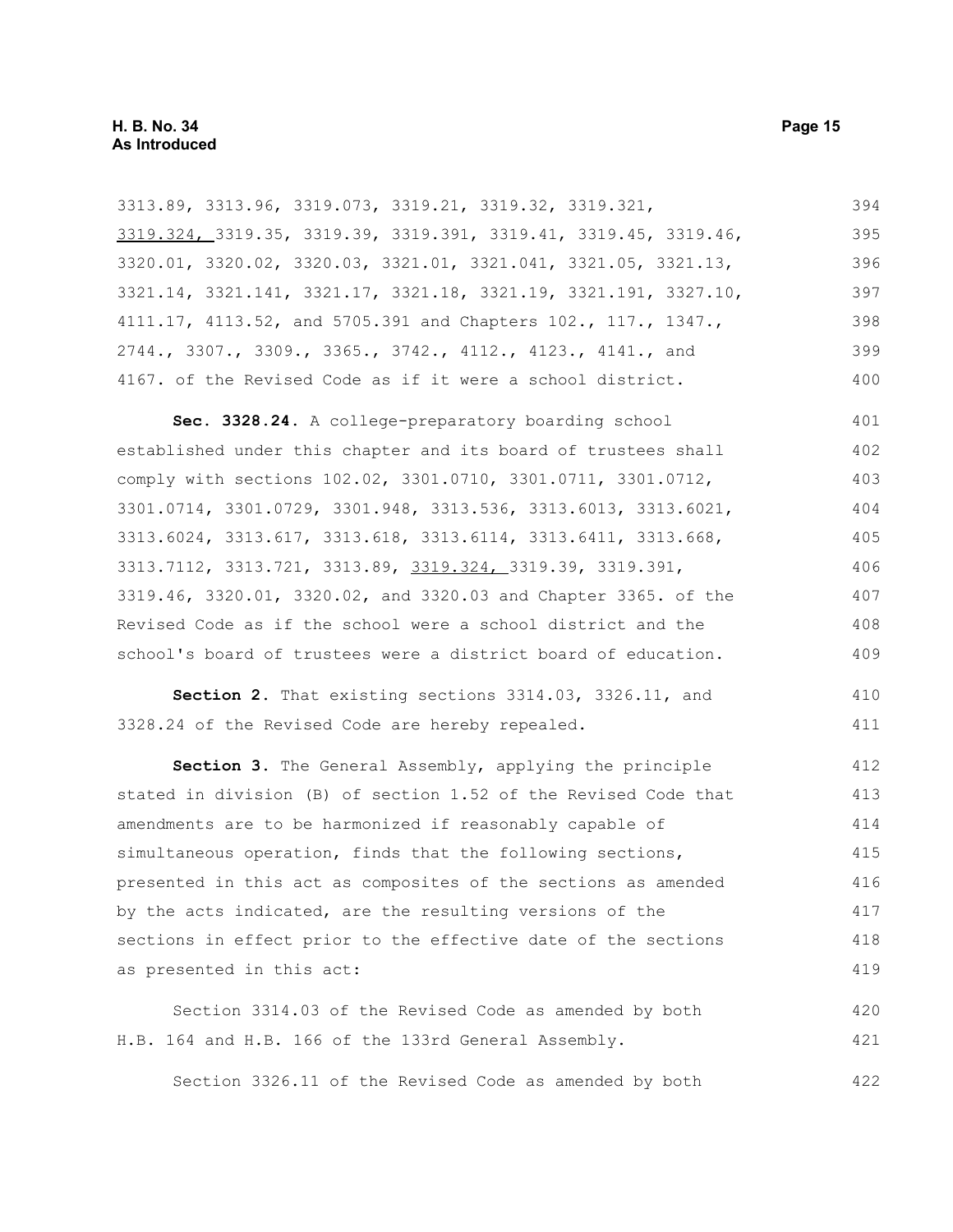3313.89, 3313.96, 3319.073, 3319.21, 3319.32, 3319.321, 3319.324, 3319.35, 3319.39, 3319.391, 3319.41, 3319.45, 3319.46, 3320.01, 3320.02, 3320.03, 3321.01, 3321.041, 3321.05, 3321.13, 3321.14, 3321.141, 3321.17, 3321.18, 3321.19, 3321.191, 3327.10, 4111.17, 4113.52, and 5705.391 and Chapters 102., 117., 1347., 2744., 3307., 3309., 3365., 3742., 4112., 4123., 4141., and 4167. of the Revised Code as if it were a school district. 394 395 396 397 398 399 400

**Sec. 3328.24.** A college-preparatory boarding school established under this chapter and its board of trustees shall comply with sections 102.02, 3301.0710, 3301.0711, 3301.0712, 3301.0714, 3301.0729, 3301.948, 3313.536, 3313.6013, 3313.6021, 3313.6024, 3313.617, 3313.618, 3313.6114, 3313.6411, 3313.668, 3313.7112, 3313.721, 3313.89, 3319.324, 3319.39, 3319.391, 3319.46, 3320.01, 3320.02, and 3320.03 and Chapter 3365. of the Revised Code as if the school were a school district and the school's board of trustees were a district board of education. 401 402 403 404 405 406 407 408 409

**Section 2.** That existing sections 3314.03, 3326.11, and 3328.24 of the Revised Code are hereby repealed. 410 411

**Section 3.** The General Assembly, applying the principle stated in division (B) of section 1.52 of the Revised Code that amendments are to be harmonized if reasonably capable of simultaneous operation, finds that the following sections, presented in this act as composites of the sections as amended by the acts indicated, are the resulting versions of the sections in effect prior to the effective date of the sections as presented in this act: 412 413 414 415 416 417 418 419

Section 3314.03 of the Revised Code as amended by both H.B. 164 and H.B. 166 of the 133rd General Assembly. 420 421

Section 3326.11 of the Revised Code as amended by both